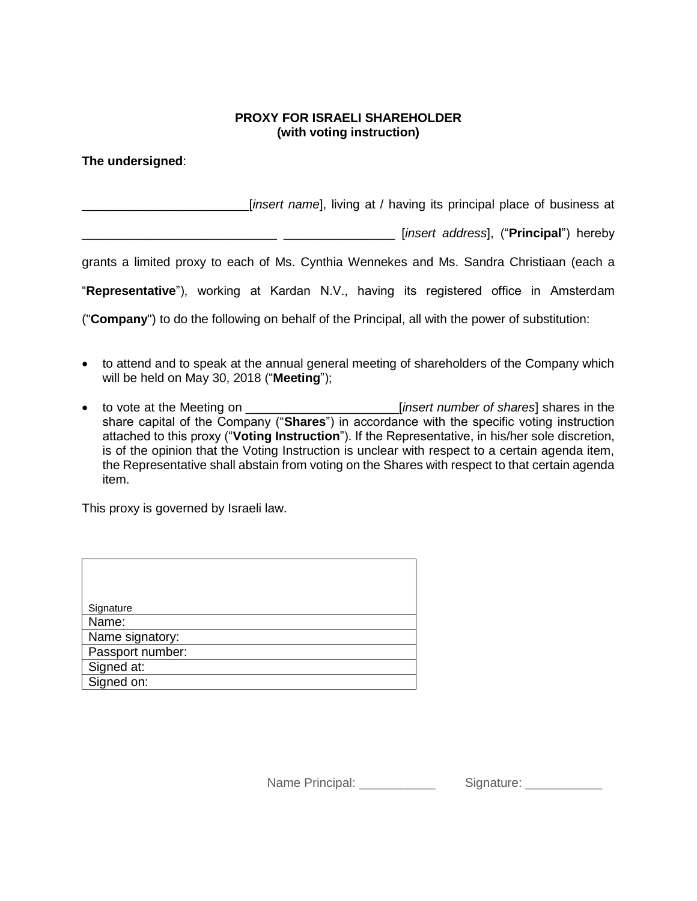## **PROXY FOR ISRAELI SHAREHOLDER (with voting instruction)**

**The undersigned**:

\_\_\_\_\_\_\_\_\_\_\_\_\_\_\_\_\_\_\_\_\_\_\_\_[*insert name*], living at / having its principal place of business at

\_\_\_\_\_\_\_\_\_\_\_\_\_\_\_\_\_\_\_\_\_\_\_\_\_\_\_\_ \_\_\_\_\_\_\_\_\_\_\_\_\_\_\_\_ [*insert address*], ("**Principal**") hereby

grants a limited proxy to each of Ms. Cynthia Wennekes and Ms. Sandra Christiaan (each a

"**Representative**"), working at Kardan N.V., having its registered office in Amsterdam

("**Company**") to do the following on behalf of the Principal, all with the power of substitution:

- to attend and to speak at the annual general meeting of shareholders of the Company which will be held on May 30, 2018 ("**Meeting**");
- to vote at the Meeting on \_\_\_\_\_\_\_\_\_\_\_\_\_\_\_\_\_\_\_\_\_\_[*insert number of shares*] shares in the share capital of the Company ("**Shares**") in accordance with the specific voting instruction attached to this proxy ("**Voting Instruction**"). If the Representative, in his/her sole discretion, is of the opinion that the Voting Instruction is unclear with respect to a certain agenda item, the Representative shall abstain from voting on the Shares with respect to that certain agenda item.

This proxy is governed by Israeli law.

| Signature        |
|------------------|
| Name:            |
| Name signatory:  |
| Passport number: |
| Signed at:       |
| Signed on:       |

Name Principal: example and Signature: